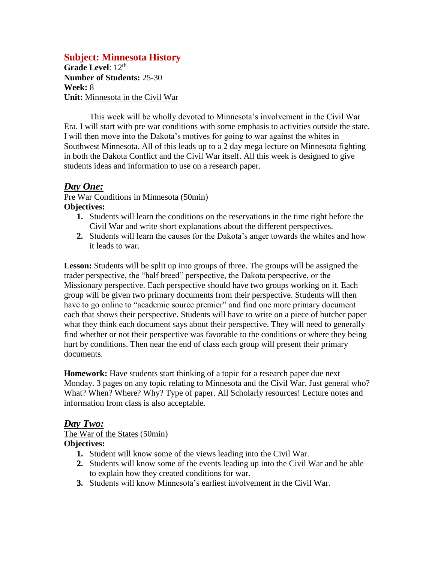# **Subject: Minnesota History**

Grade Level: 12<sup>th</sup> **Number of Students:** 25-30 **Week:** 8 **Unit:** Minnesota in the Civil War

This week will be wholly devoted to Minnesota's involvement in the Civil War Era. I will start with pre war conditions with some emphasis to activities outside the state. I will then move into the Dakota's motives for going to war against the whites in Southwest Minnesota. All of this leads up to a 2 day mega lecture on Minnesota fighting in both the Dakota Conflict and the Civil War itself. All this week is designed to give students ideas and information to use on a research paper.

#### *Day One:*

Pre War Conditions in Minnesota (50min) **Objectives:**

- **1.** Students will learn the conditions on the reservations in the time right before the Civil War and write short explanations about the different perspectives.
- **2.** Students will learn the causes for the Dakota's anger towards the whites and how it leads to war.

**Lesson:** Students will be split up into groups of three. The groups will be assigned the trader perspective, the "half breed" perspective, the Dakota perspective, or the Missionary perspective. Each perspective should have two groups working on it. Each group will be given two primary documents from their perspective. Students will then have to go online to "academic source premier" and find one more primary document each that shows their perspective. Students will have to write on a piece of butcher paper what they think each document says about their perspective. They will need to generally find whether or not their perspective was favorable to the conditions or where they being hurt by conditions. Then near the end of class each group will present their primary documents.

**Homework:** Have students start thinking of a topic for a research paper due next Monday. 3 pages on any topic relating to Minnesota and the Civil War. Just general who? What? When? Where? Why? Type of paper. All Scholarly resources! Lecture notes and information from class is also acceptable.

#### *Day Two:*

The War of the States (50min)

**Objectives:**

- **1.** Student will know some of the views leading into the Civil War.
- **2.** Students will know some of the events leading up into the Civil War and be able to explain how they created conditions for war.
- **3.** Students will know Minnesota's earliest involvement in the Civil War.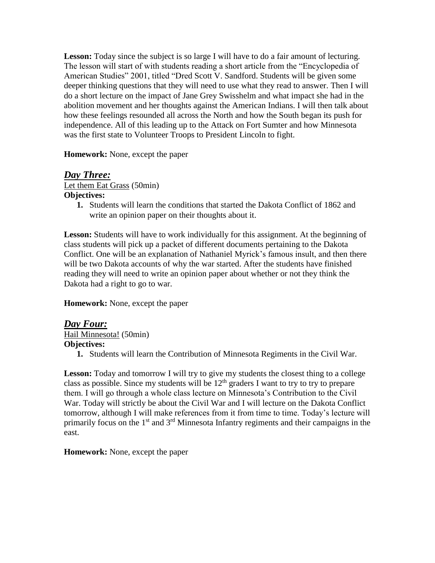Lesson: Today since the subject is so large I will have to do a fair amount of lecturing. The lesson will start of with students reading a short article from the "Encyclopedia of American Studies" 2001, titled "Dred Scott V. Sandford. Students will be given some deeper thinking questions that they will need to use what they read to answer. Then I will do a short lecture on the impact of Jane Grey Swisshelm and what impact she had in the abolition movement and her thoughts against the American Indians. I will then talk about how these feelings resounded all across the North and how the South began its push for independence. All of this leading up to the Attack on Fort Sumter and how Minnesota was the first state to Volunteer Troops to President Lincoln to fight.

**Homework:** None, except the paper

# *Day Three:*

Let them Eat Grass (50min) **Objectives:**

**1.** Students will learn the conditions that started the Dakota Conflict of 1862 and write an opinion paper on their thoughts about it.

**Lesson:** Students will have to work individually for this assignment. At the beginning of class students will pick up a packet of different documents pertaining to the Dakota Conflict. One will be an explanation of Nathaniel Myrick's famous insult, and then there will be two Dakota accounts of why the war started. After the students have finished reading they will need to write an opinion paper about whether or not they think the Dakota had a right to go to war.

**Homework:** None, except the paper

# *Day Four:*

Hail Minnesota! (50min)

## **Objectives:**

**1.** Students will learn the Contribution of Minnesota Regiments in the Civil War.

**Lesson:** Today and tomorrow I will try to give my students the closest thing to a college class as possible. Since my students will be  $12<sup>th</sup>$  graders I want to try to try to prepare them. I will go through a whole class lecture on Minnesota's Contribution to the Civil War. Today will strictly be about the Civil War and I will lecture on the Dakota Conflict tomorrow, although I will make references from it from time to time. Today's lecture will primarily focus on the 1st and 3rd Minnesota Infantry regiments and their campaigns in the east.

**Homework:** None, except the paper